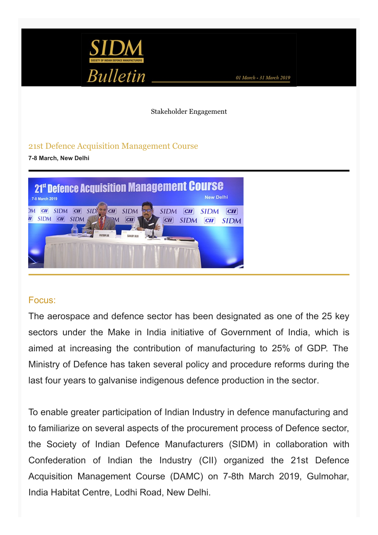

Stakeholder Engagement

## 21st Defence Acquisition Management Course

**7-8 March, New Delhi**



## Focus:

The aerospace and defence sector has been designated as one of the 25 key sectors under the Make in India initiative of Government of India, which is aimed at increasing the contribution of manufacturing to 25% of GDP. The Ministry of Defence has taken several policy and procedure reforms during the last four years to galvanise indigenous defence production in the sector.

To enable greater participation of Indian Industry in defence manufacturing and to familiarize on several aspects of the procurement process of Defence sector, the Society of Indian Defence Manufacturers (SIDM) in collaboration with Confederation of Indian the Industry (CII) organized the 21st Defence Acquisition Management Course (DAMC) on 7-8th March 2019, Gulmohar, India Habitat Centre, Lodhi Road, New Delhi.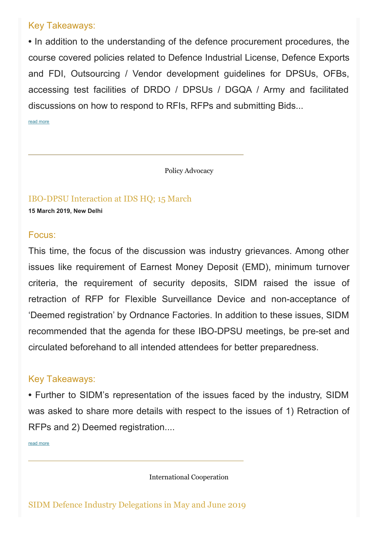# Key Takeaways:

**•** In addition to the understanding of the defence procurement procedures, the course covered policies related to Defence Industrial License, Defence Exports and FDI, Outsourcing / Vendor development guidelines for DPSUs, OFBs, accessing test facilities of DRDO / DPSUs / DGQA / Army and facilitated discussions on how to respond to RFIs, RFPs and submitting Bids...

read [more](https://www.sidm.in/events/21st-defence-acquisition-management-course-damc)

Policy Advocacy

IBO-DPSU Interaction at IDS HQ; 15 March **15 March 2019, New Delhi**

#### Focus:

This time, the focus of the discussion was industry grievances. Among other issues like requirement of Earnest Money Deposit (EMD), minimum turnover criteria, the requirement of security deposits, SIDM raised the issue of retraction of RFP for Flexible Surveillance Device and non-acceptance of 'Deemed registration' by Ordnance Factories. In addition to these issues, SIDM recommended that the agenda for these IBO-DPSU meetings, be pre-set and circulated beforehand to all intended attendees for better preparedness.

## Key Takeaways:

**•** Further to SIDM's representation of the issues faced by the industry, SIDM was asked to share more details with respect to the issues of 1) Retraction of RFPs and 2) Deemed registration....

read [more](https://www.sidm.in/ibo-dpsu-interaction-ids-hq-15-march-2019)

International Cooperation

SIDM Defence Industry Delegations in May and June 2019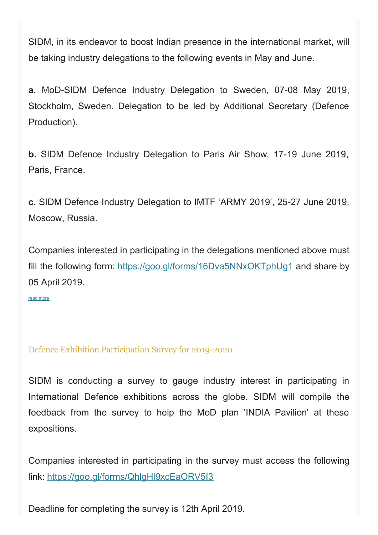SIDM, in its endeavor to boost Indian presence in the international market, will be taking industry delegations to the following events in May and June.

**a.** MoD-SIDM Defence Industry Delegation to Sweden, 07-08 May 2019, Stockholm, Sweden. Delegation to be led by Additional Secretary (Defence Production).

**b.** SIDM Defence Industry Delegation to Paris Air Show, 17-19 June 2019, Paris, France.

**c.** SIDM Defence Industry Delegation to IMTF 'ARMY 2019', 25-27 June 2019. Moscow, Russia.

Companies interested in participating in the delegations mentioned above must fill the following form: <https://goo.gl/forms/16Dva5NNxOKTphUg1> and share by 05 April 2019.

read [more](https://www.sidm.in/sidm-defence-industry-delegations-may-and-june-2019)

## Defence Exhibition Participation Survey for 2019-2020

SIDM is conducting a survey to gauge industry interest in participating in International Defence exhibitions across the globe. SIDM will compile the feedback from the survey to help the MoD plan 'INDIA Pavilion' at these expositions.

Companies interested in participating in the survey must access the following link: <https://goo.gl/forms/QhlgHl9xcEaORV5I3>

Deadline for completing the survey is 12th April 2019.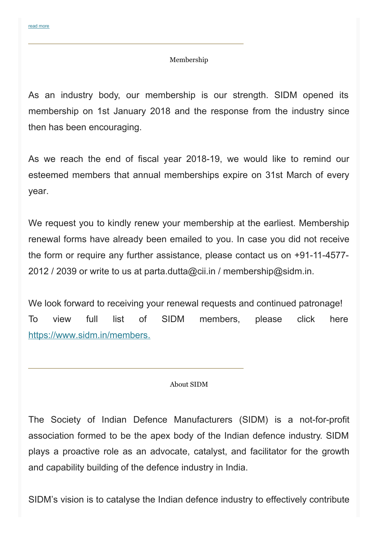#### Membership

As an industry body, our membership is our strength. SIDM opened its membership on 1st January 2018 and the response from the industry since then has been encouraging.

As we reach the end of fiscal year 2018-19, we would like to remind our esteemed members that annual memberships expire on 31st March of every year.

We request you to kindly renew your membership at the earliest. Membership renewal forms have already been emailed to you. In case you did not receive the form or require any further assistance, please contact us on +91-11-4577- 2012 / 2039 or write to us at parta.dutta@cii.in / membership@sidm.in.

We look forward to receiving your renewal requests and continued patronage! To view full list of SIDM members, please click here [https://www.sidm.in/members.](https://www.sidm.in/members)

#### About SIDM

The Society of Indian Defence Manufacturers (SIDM) is a not-for-profit association formed to be the apex body of the Indian defence industry. SIDM plays a proactive role as an advocate, catalyst, and facilitator for the growth and capability building of the defence industry in India.

SIDM's vision is to catalyse the Indian defence industry to effectively contribute